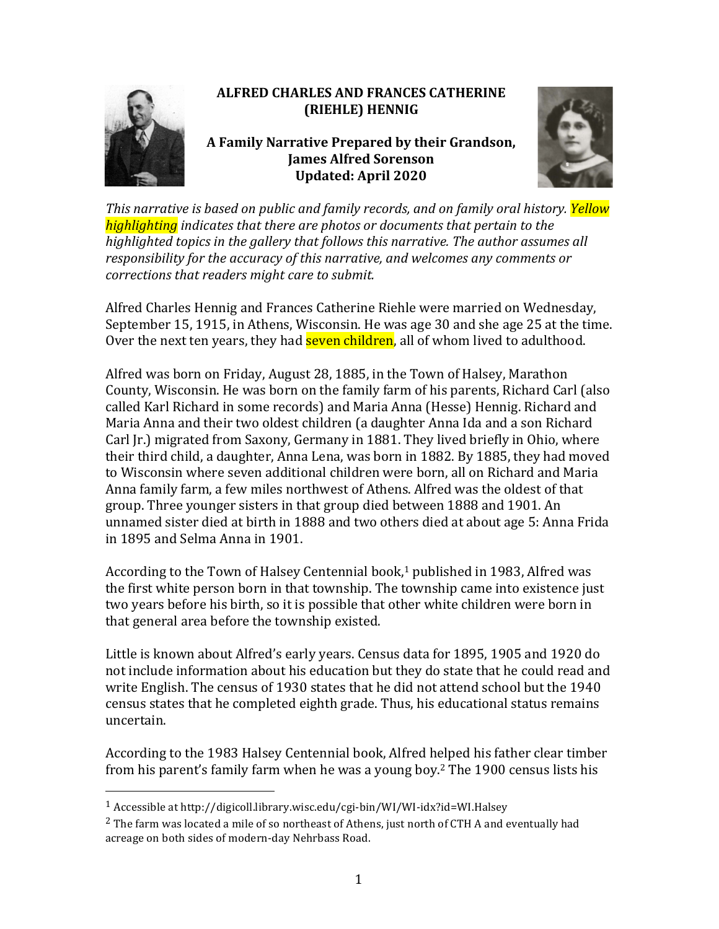

## **ALFRED CHARLES AND FRANCES CATHERINE (RIEHLE) HENNIG**

## A Family Narrative Prepared by their Grandson, **James Alfred Sorenson Updated: April 2020**



*This narrative is based on public and family records, and on family oral history. Yellow highlighting indicates* that there are photos or documents that pertain to the highlighted topics in the gallery that follows this narrative. The author assumes all responsibility for the accuracy of this narrative, and welcomes any comments or *corrections that readers might care to submit.* 

Alfred Charles Hennig and Frances Catherine Riehle were married on Wednesday, September 15, 1915, in Athens, Wisconsin. He was age 30 and she age 25 at the time. Over the next ten years, they had **seven children**, all of whom lived to adulthood.

Alfred was born on Friday, August 28, 1885, in the Town of Halsey, Marathon County, Wisconsin. He was born on the family farm of his parents, Richard Carl (also called Karl Richard in some records) and Maria Anna (Hesse) Hennig. Richard and Maria Anna and their two oldest children (a daughter Anna Ida and a son Richard Carl [r.] migrated from Saxony, Germany in 1881. They lived briefly in Ohio, where their third child, a daughter, Anna Lena, was born in 1882. By 1885, they had moved to Wisconsin where seven additional children were born, all on Richard and Maria Anna family farm, a few miles northwest of Athens. Alfred was the oldest of that group. Three younger sisters in that group died between 1888 and 1901. An unnamed sister died at birth in 1888 and two others died at about age 5: Anna Frida in 1895 and Selma Anna in 1901.

According to the Town of Halsey Centennial book,<sup>1</sup> published in 1983, Alfred was the first white person born in that township. The township came into existence just two years before his birth, so it is possible that other white children were born in that general area before the township existed.

Little is known about Alfred's early years. Census data for 1895, 1905 and 1920 do not include information about his education but they do state that he could read and write English. The census of 1930 states that he did not attend school but the 1940 census states that he completed eighth grade. Thus, his educational status remains uncertain.

According to the 1983 Halsey Centennial book, Alfred helped his father clear timber from his parent's family farm when he was a young boy.<sup>2</sup> The 1900 census lists his

<sup>&</sup>lt;sup>1</sup> Accessible at http://digicoll.library.wisc.edu/cgi-bin/WI/WI-idx?id=WI.Halsey

 $^2$  The farm was located a mile of so northeast of Athens, just north of CTH A and eventually had acreage on both sides of modern-day Nehrbass Road.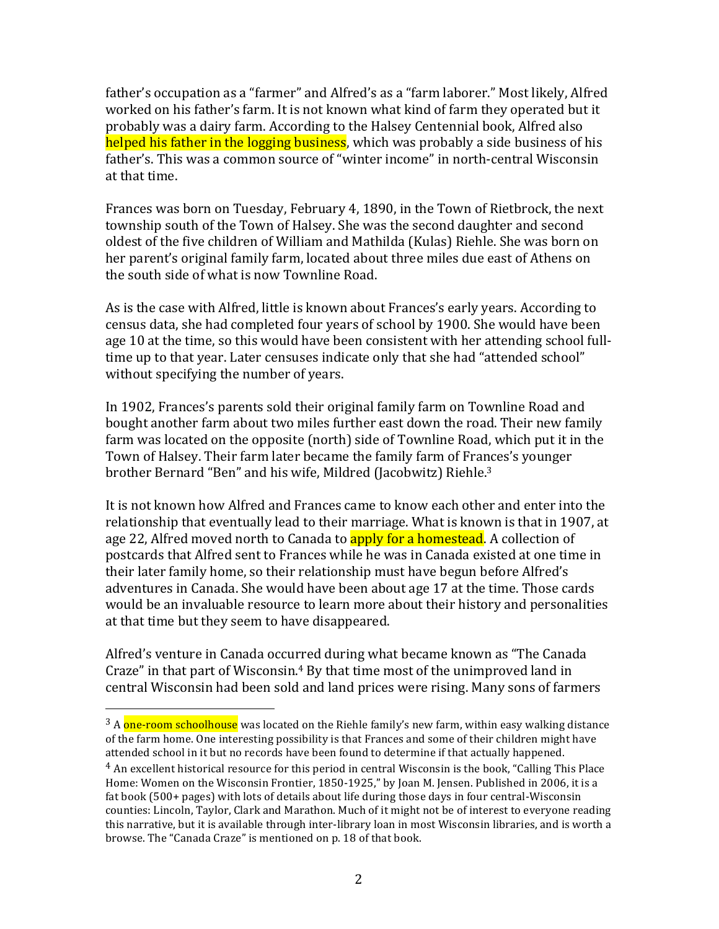father's occupation as a "farmer" and Alfred's as a "farm laborer." Most likely, Alfred worked on his father's farm. It is not known what kind of farm they operated but it probably was a dairy farm. According to the Halsey Centennial book, Alfred also helped his father in the logging business, which was probably a side business of his father's. This was a common source of "winter income" in north-central Wisconsin at that time.

Frances was born on Tuesday, February 4, 1890, in the Town of Rietbrock, the next township south of the Town of Halsey. She was the second daughter and second oldest of the five children of William and Mathilda (Kulas) Riehle. She was born on her parent's original family farm, located about three miles due east of Athens on the south side of what is now Townline Road.

As is the case with Alfred, little is known about Frances's early years. According to census data, she had completed four vears of school by 1900. She would have been age 10 at the time, so this would have been consistent with her attending school fulltime up to that year. Later censuses indicate only that she had "attended school" without specifying the number of years.

In 1902, Frances's parents sold their original family farm on Townline Road and bought another farm about two miles further east down the road. Their new family farm was located on the opposite (north) side of Townline Road, which put it in the Town of Halsey. Their farm later became the family farm of Frances's younger brother Bernard "Ben" and his wife, Mildred (Jacobwitz) Riehle.<sup>3</sup>

It is not known how Alfred and Frances came to know each other and enter into the relationship that eventually lead to their marriage. What is known is that in 1907, at age 22, Alfred moved north to Canada to **apply for a homestead.** A collection of postcards that Alfred sent to Frances while he was in Canada existed at one time in their later family home, so their relationship must have begun before Alfred's adventures in Canada. She would have been about age 17 at the time. Those cards would be an invaluable resource to learn more about their history and personalities at that time but they seem to have disappeared.

Alfred's venture in Canada occurred during what became known as "The Canada" Craze" in that part of Wisconsin. $4$  By that time most of the unimproved land in central Wisconsin had been sold and land prices were rising. Many sons of farmers

 $3$  A one-room schoolhouse was located on the Riehle family's new farm, within easy walking distance of the farm home. One interesting possibility is that Frances and some of their children might have attended school in it but no records have been found to determine if that actually happened.

 $4$  An excellent historical resource for this period in central Wisconsin is the book, "Calling This Place Home: Women on the Wisconsin Frontier, 1850-1925," by Joan M. Jensen. Published in 2006, it is a fat book  $(500+)$  pages) with lots of details about life during those days in four central-Wisconsin counties: Lincoln, Taylor, Clark and Marathon. Much of it might not be of interest to everyone reading this narrative, but it is available through inter-library loan in most Wisconsin libraries, and is worth a browse. The "Canada Craze" is mentioned on p. 18 of that book.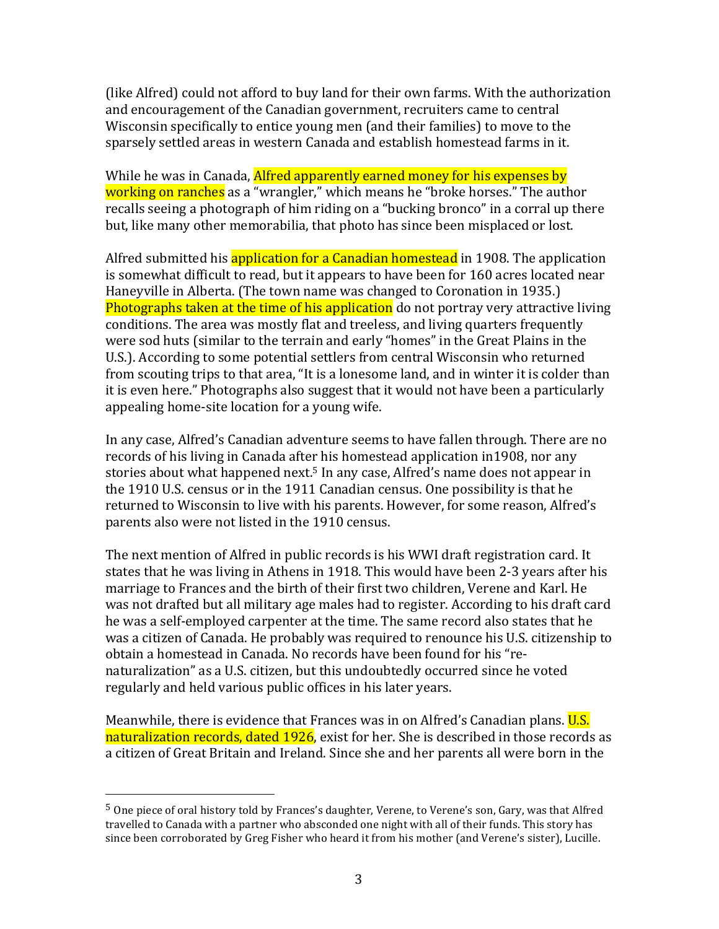(like Alfred) could not afford to buy land for their own farms. With the authorization and encouragement of the Canadian government, recruiters came to central Wisconsin specifically to entice young men (and their families) to move to the sparsely settled areas in western Canada and establish homestead farms in it.

While he was in Canada, Alfred apparently earned money for his expenses by working on ranches as a "wrangler," which means he "broke horses." The author recalls seeing a photograph of him riding on a "bucking bronco" in a corral up there but, like many other memorabilia, that photo has since been misplaced or lost.

Alfred submitted his application for a Canadian homestead in 1908. The application is somewhat difficult to read, but it appears to have been for 160 acres located near Haneyville in Alberta. (The town name was changed to Coronation in 1935.) Photographs taken at the time of his application do not portray very attractive living conditions. The area was mostly flat and treeless, and living quarters frequently were sod huts (similar to the terrain and early "homes" in the Great Plains in the U.S.). According to some potential settlers from central Wisconsin who returned from scouting trips to that area, "It is a lonesome land, and in winter it is colder than it is even here." Photographs also suggest that it would not have been a particularly appealing home-site location for a young wife.

In any case, Alfred's Canadian adventure seems to have fallen through. There are no records of his living in Canada after his homestead application in 1908, nor any stories about what happened next.<sup>5</sup> In any case, Alfred's name does not appear in the 1910 U.S. census or in the 1911 Canadian census. One possibility is that he returned to Wisconsin to live with his parents. However, for some reason, Alfred's parents also were not listed in the 1910 census.

The next mention of Alfred in public records is his WWI draft registration card. It states that he was living in Athens in 1918. This would have been 2-3 years after his marriage to Frances and the birth of their first two children. Verene and Karl. He was not drafted but all military age males had to register. According to his draft card he was a self-employed carpenter at the time. The same record also states that he was a citizen of Canada. He probably was required to renounce his U.S. citizenship to obtain a homestead in Canada. No records have been found for his "renaturalization" as a U.S. citizen, but this undoubtedly occurred since he voted regularly and held various public offices in his later years.

Meanwhile, there is evidence that Frances was in on Alfred's Canadian plans. U.S. naturalization records, dated  $1926$ , exist for her. She is described in those records as a citizen of Great Britain and Ireland. Since she and her parents all were born in the

 $5$  One piece of oral history told by Frances's daughter, Verene, to Verene's son, Gary, was that Alfred travelled to Canada with a partner who absconded one night with all of their funds. This story has since been corroborated by Greg Fisher who heard it from his mother (and Verene's sister), Lucille.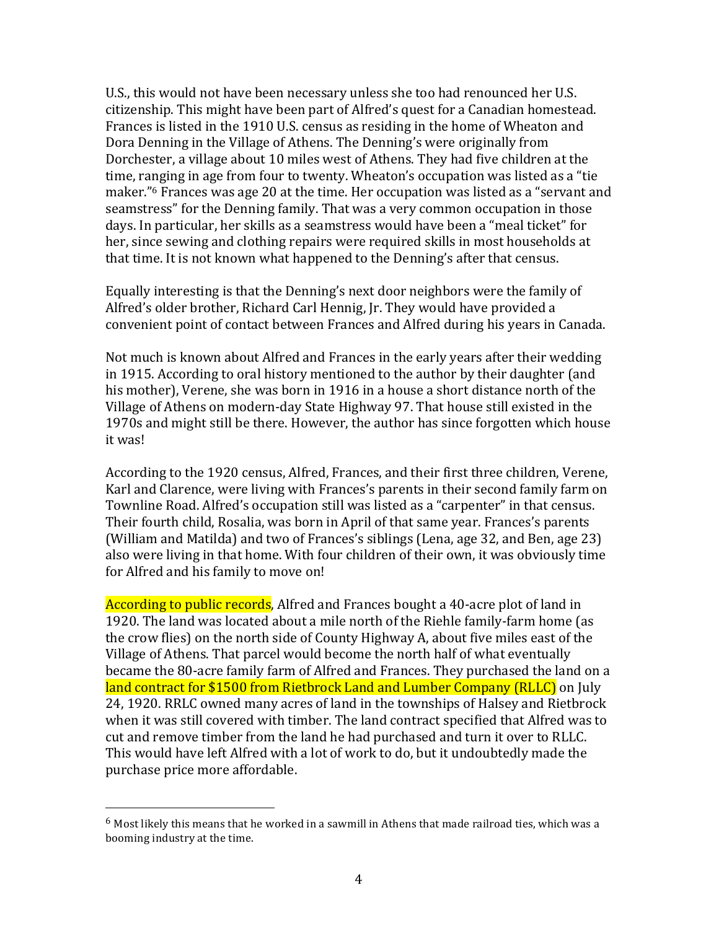U.S., this would not have been necessary unless she too had renounced her U.S. citizenship. This might have been part of Alfred's quest for a Canadian homestead. Frances is listed in the 1910 U.S. census as residing in the home of Wheaton and Dora Denning in the Village of Athens. The Denning's were originally from Dorchester, a village about 10 miles west of Athens. They had five children at the time, ranging in age from four to twenty. Wheaton's occupation was listed as a "tie maker."<sup>6</sup> Frances was age 20 at the time. Her occupation was listed as a "servant and seamstress" for the Denning family. That was a very common occupation in those days. In particular, her skills as a seamstress would have been a "meal ticket" for her, since sewing and clothing repairs were required skills in most households at that time. It is not known what happened to the Denning's after that census.

Equally interesting is that the Denning's next door neighbors were the family of Alfred's older brother, Richard Carl Hennig, Jr. They would have provided a convenient point of contact between Frances and Alfred during his vears in Canada.

Not much is known about Alfred and Frances in the early years after their wedding in 1915. According to oral history mentioned to the author by their daughter (and his mother), Verene, she was born in 1916 in a house a short distance north of the Village of Athens on modern-day State Highway 97. That house still existed in the 1970s and might still be there. However, the author has since forgotten which house it was!

According to the 1920 census, Alfred, Frances, and their first three children, Verene, Karl and Clarence, were living with Frances's parents in their second family farm on Townline Road. Alfred's occupation still was listed as a "carpenter" in that census. Their fourth child, Rosalia, was born in April of that same year. Frances's parents (William and Matilda) and two of Frances's siblings (Lena, age 32, and Ben, age 23) also were living in that home. With four children of their own, it was obviously time for Alfred and his family to move on!

According to public records, Alfred and Frances bought a 40-acre plot of land in 1920. The land was located about a mile north of the Riehle family-farm home (as the crow flies) on the north side of County Highway A, about five miles east of the Village of Athens. That parcel would become the north half of what eventually became the 80-acre family farm of Alfred and Frances. They purchased the land on a land contract for \$1500 from Rietbrock Land and Lumber Company (RLLC) on July 24, 1920. RRLC owned many acres of land in the townships of Halsey and Rietbrock when it was still covered with timber. The land contract specified that Alfred was to cut and remove timber from the land he had purchased and turn it over to RLLC. This would have left Alfred with a lot of work to do, but it undoubtedly made the purchase price more affordable.

 $^6$  Most likely this means that he worked in a sawmill in Athens that made railroad ties, which was a booming industry at the time.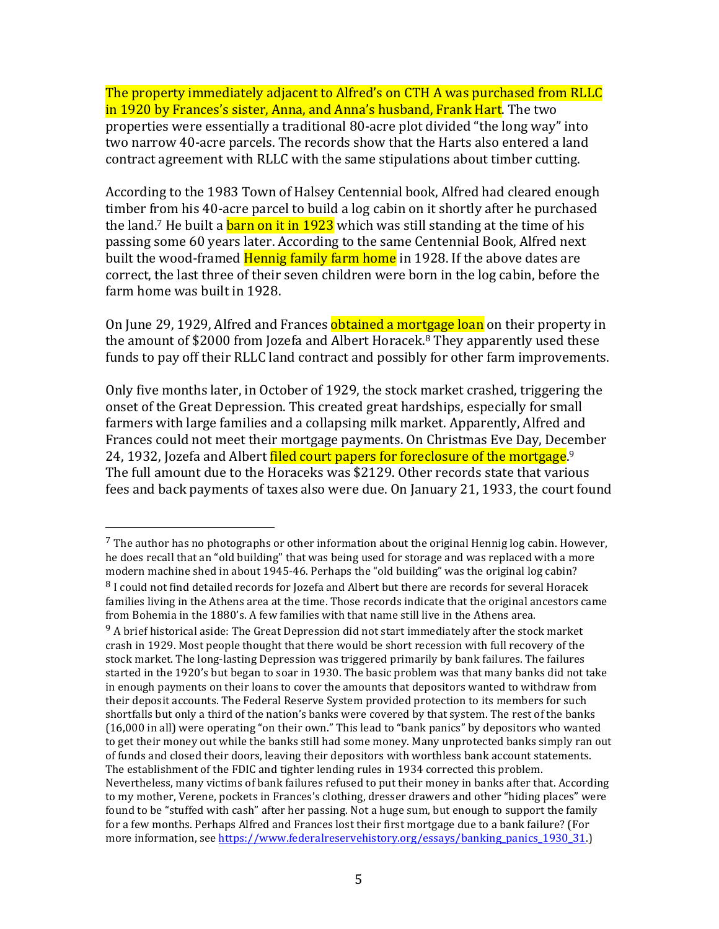The property immediately adjacent to Alfred's on CTH A was purchased from RLLC in 1920 by Frances's sister, Anna, and Anna's husband, Frank Hart. The two properties were essentially a traditional 80-acre plot divided "the long way" into two narrow 40-acre parcels. The records show that the Harts also entered a land contract agreement with RLLC with the same stipulations about timber cutting.

According to the 1983 Town of Halsey Centennial book, Alfred had cleared enough timber from his 40-acre parcel to build a log cabin on it shortly after he purchased the land.<sup>7</sup> He built a <mark>barn on it in 1923</mark> which was still standing at the time of his passing some 60 years later. According to the same Centennial Book, Alfred next built the wood-framed **Hennig family farm home** in 1928. If the above dates are correct, the last three of their seven children were born in the log cabin, before the farm home was built in 1928.

On June 29, 1929, Alfred and Frances obtained a mortgage loan on their property in the amount of \$2000 from Jozefa and Albert Horacek.<sup>8</sup> They apparently used these funds to pay off their RLLC land contract and possibly for other farm improvements.

Only five months later, in October of 1929, the stock market crashed, triggering the onset of the Great Depression. This created great hardships, especially for small farmers with large families and a collapsing milk market. Apparently, Alfred and Frances could not meet their mortgage payments. On Christmas Eve Day, December 24, 1932, Jozefa and Albert <mark>filed court papers for foreclosure of the mortgage</mark>.<sup>9</sup> The full amount due to the Horaceks was \$2129. Other records state that various fees and back payments of taxes also were due. On January 21, 1933, the court found

 $^7$  The author has no photographs or other information about the original Hennig log cabin. However, he does recall that an "old building" that was being used for storage and was replaced with a more modern machine shed in about 1945-46. Perhaps the "old building" was the original log cabin?  $8$  I could not find detailed records for Jozefa and Albert but there are records for several Horacek families living in the Athens area at the time. Those records indicate that the original ancestors came from Bohemia in the 1880's. A few families with that name still live in the Athens area.

 $9$  A brief historical aside: The Great Depression did not start immediately after the stock market crash in 1929. Most people thought that there would be short recession with full recovery of the stock market. The long-lasting Depression was triggered primarily by bank failures. The failures started in the 1920's but began to soar in 1930. The basic problem was that many banks did not take in enough payments on their loans to cover the amounts that depositors wanted to withdraw from their deposit accounts. The Federal Reserve System provided protection to its members for such shortfalls but only a third of the nation's banks were covered by that system. The rest of the banks  $(16,000$  in all) were operating "on their own." This lead to "bank panics" by depositors who wanted to get their money out while the banks still had some money. Many unprotected banks simply ran out of funds and closed their doors, leaving their depositors with worthless bank account statements. The establishment of the FDIC and tighter lending rules in 1934 corrected this problem. Nevertheless, many victims of bank failures refused to put their money in banks after that. According to my mother, Verene, pockets in Frances's clothing, dresser drawers and other "hiding places" were found to be "stuffed with cash" after her passing. Not a huge sum, but enough to support the family for a few months. Perhaps Alfred and Frances lost their first mortgage due to a bank failure? (For more information, see https://www.federalreservehistory.org/essays/banking\_panics\_1930\_31.)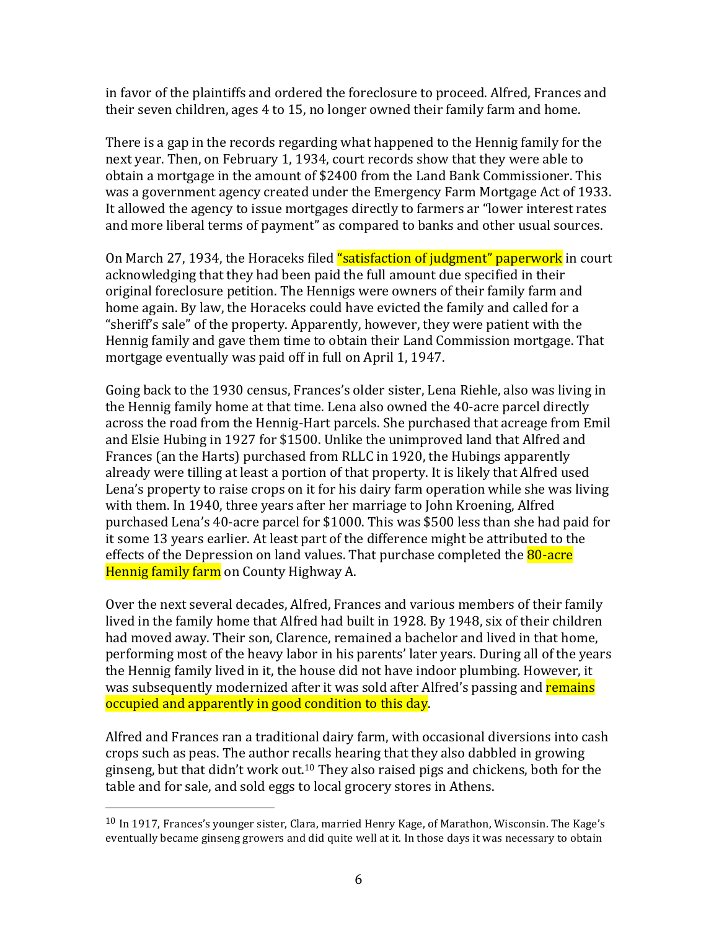in favor of the plaintiffs and ordered the foreclosure to proceed. Alfred, Frances and their seven children, ages 4 to 15, no longer owned their family farm and home.

There is a gap in the records regarding what happened to the Hennig family for the next year. Then, on February 1, 1934, court records show that they were able to obtain a mortgage in the amount of  $$2400$  from the Land Bank Commissioner. This was a government agency created under the Emergency Farm Mortgage Act of 1933. It allowed the agency to issue mortgages directly to farmers ar "lower interest rates" and more liberal terms of payment" as compared to banks and other usual sources.

On March 27, 1934, the Horaceks filed "satisfaction of judgment" paperwork in court acknowledging that they had been paid the full amount due specified in their original foreclosure petition. The Hennigs were owners of their family farm and home again. By law, the Horaceks could have evicted the family and called for a "sheriff's sale" of the property. Apparently, however, they were patient with the Hennig family and gave them time to obtain their Land Commission mortgage. That mortgage eventually was paid off in full on April 1, 1947.

Going back to the 1930 census, Frances's older sister, Lena Riehle, also was living in the Hennig family home at that time. Lena also owned the 40-acre parcel directly across the road from the Hennig-Hart parcels. She purchased that acreage from Emil and Elsie Hubing in 1927 for \$1500. Unlike the unimproved land that Alfred and Frances (an the Harts) purchased from RLLC in 1920, the Hubings apparently already were tilling at least a portion of that property. It is likely that Alfred used Lena's property to raise crops on it for his dairy farm operation while she was living with them. In 1940, three years after her marriage to John Kroening, Alfred purchased Lena's 40-acre parcel for \$1000. This was \$500 less than she had paid for it some 13 years earlier. At least part of the difference might be attributed to the effects of the Depression on land values. That purchase completed the **80-acre** Hennig family farm on County Highway A.

Over the next several decades, Alfred, Frances and various members of their family lived in the family home that Alfred had built in 1928. By 1948, six of their children had moved away. Their son, Clarence, remained a bachelor and lived in that home, performing most of the heavy labor in his parents' later years. During all of the years the Hennig family lived in it, the house did not have indoor plumbing. However, it was subsequently modernized after it was sold after Alfred's passing and remains occupied and apparently in good condition to this day.

Alfred and Frances ran a traditional dairy farm, with occasional diversions into cash crops such as peas. The author recalls hearing that they also dabbled in growing ginseng, but that  $\text{d}$ idn't work out.<sup>10</sup> They also raised pigs and chickens, both for the table and for sale, and sold eggs to local grocery stores in Athens.

 $10$  In 1917, Frances's younger sister, Clara, married Henry Kage, of Marathon, Wisconsin. The Kage's eventually became ginseng growers and did quite well at it. In those days it was necessary to obtain